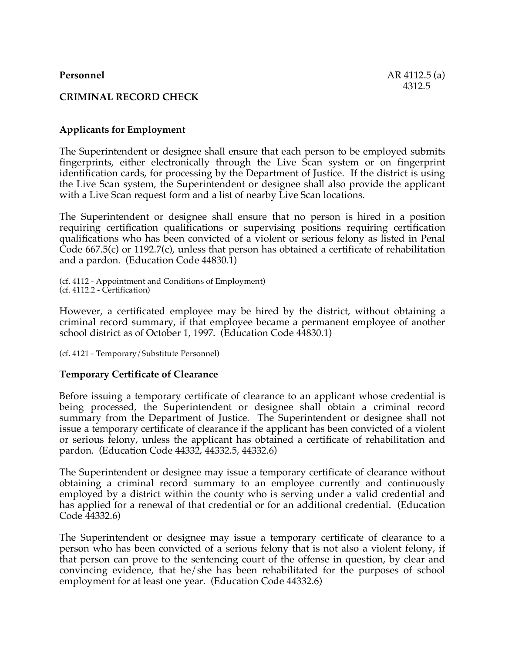# **CRIMINAL RECORD CHECK**

## **Applicants for Employment**

The Superintendent or designee shall ensure that each person to be employed submits fingerprints, either electronically through the Live Scan system or on fingerprint identification cards, for processing by the Department of Justice. If the district is using the Live Scan system, the Superintendent or designee shall also provide the applicant with a Live Scan request form and a list of nearby Live Scan locations.

The Superintendent or designee shall ensure that no person is hired in a position requiring certification qualifications or supervising positions requiring certification qualifications who has been convicted of a violent or serious felony as listed in Penal  $\hat{\text{Code}}$  667.5(c) or 1192.7(c), unless that person has obtained a certificate of rehabilitation and a pardon. (Education Code 44830.1)

(cf. 4112 - Appointment and Conditions of Employment) (cf. 4112.2 - Certification)

However, a certificated employee may be hired by the district, without obtaining a criminal record summary, if that employee became a permanent employee of another school district as of October 1, 1997. (Education Code 44830.1)

(cf. 4121 - Temporary/Substitute Personnel)

## **Temporary Certificate of Clearance**

Before issuing a temporary certificate of clearance to an applicant whose credential is being processed, the Superintendent or designee shall obtain a criminal record summary from the Department of Justice. The Superintendent or designee shall not issue a temporary certificate of clearance if the applicant has been convicted of a violent or serious felony, unless the applicant has obtained a certificate of rehabilitation and pardon. (Education Code 44332, 44332.5, 44332.6)

The Superintendent or designee may issue a temporary certificate of clearance without obtaining a criminal record summary to an employee currently and continuously employed by a district within the county who is serving under a valid credential and has applied for a renewal of that credential or for an additional credential. (Education Code 44332.6)

The Superintendent or designee may issue a temporary certificate of clearance to a person who has been convicted of a serious felony that is not also a violent felony, if that person can prove to the sentencing court of the offense in question, by clear and convincing evidence, that he/she has been rehabilitated for the purposes of school employment for at least one year. (Education Code 44332.6)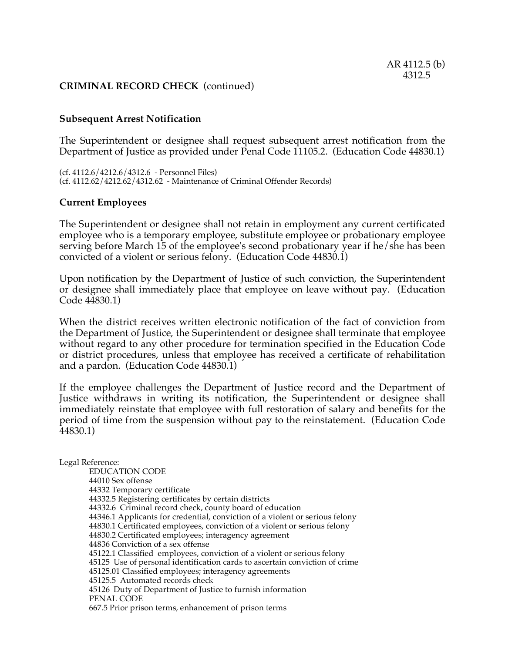## **CRIMINAL RECORD CHECK** (continued)

## **Subsequent Arrest Notification**

The Superintendent or designee shall request subsequent arrest notification from the Department of Justice as provided under Penal Code 11105.2. (Education Code 44830.1)

(cf. 4112.6/4212.6/4312.6 - Personnel Files) (cf. 4112.62/4212.62/4312.62 - Maintenance of Criminal Offender Records)

## **Current Employees**

The Superintendent or designee shall not retain in employment any current certificated employee who is a temporary employee, substitute employee or probationary employee serving before March 15 of the employee's second probationary year if he/she has been convicted of a violent or serious felony. (Education Code 44830.1)

Upon notification by the Department of Justice of such conviction, the Superintendent or designee shall immediately place that employee on leave without pay. (Education Code 44830.1)

When the district receives written electronic notification of the fact of conviction from the Department of Justice, the Superintendent or designee shall terminate that employee without regard to any other procedure for termination specified in the Education Code or district procedures, unless that employee has received a certificate of rehabilitation and a pardon. (Education Code 44830.1)

If the employee challenges the Department of Justice record and the Department of Justice withdraws in writing its notification, the Superintendent or designee shall immediately reinstate that employee with full restoration of salary and benefits for the period of time from the suspension without pay to the reinstatement. (Education Code 44830.1)

Legal Reference: EDUCATION CODE 44010 Sex offense 44332 Temporary certificate 44332.5 Registering certificates by certain districts 44332.6 Criminal record check, county board of education 44346.1 Applicants for credential, conviction of a violent or serious felony 44830.1 Certificated employees, conviction of a violent or serious felony 44830.2 Certificated employees; interagency agreement 44836 Conviction of a sex offense 45122.1 Classified employees, conviction of a violent or serious felony 45125 Use of personal identification cards to ascertain conviction of crime 45125.01 Classified employees; interagency agreements 45125.5 Automated records check 45126 Duty of Department of Justice to furnish information PENAL CODE 667.5 Prior prison terms, enhancement of prison terms